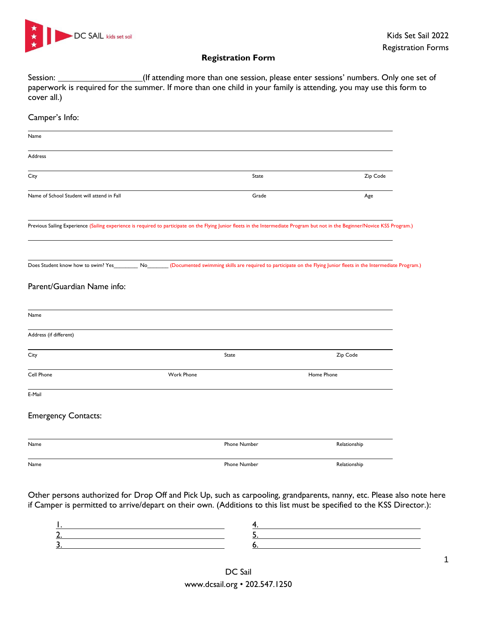

## **Registration Form**

Session: <u>Charlesse and Scission:</u> (If attending more than one session, please enter sessions' numbers. Only one set of paperwork is required for the summer. If more than one child in your family is attending, you may use this form to cover all.)

## Camper's Info: Name Address City **State** 2.1 **City** State 2.1 **State** 2.1 **State** 2.1 **State** 2.1 **State** 2.1 **Zip Code** Name of School Student will attend in Fall Grade Age Cases and School Student Age Age Age Age Age Age Age Age Age Previous Sailing Experience (Sailing experience is required to participate on the Flying Junior fleets in the Intermediate Program but not in the Beginner/Novice KSS Program.) Does Student know how to swim? Yes\_\_\_\_\_\_\_\_\_ No\_\_\_\_\_\_\_\_\_ (Documented swimming skills are required to participate on the Flying Junior fleets in the Intermediate Program.) Parent/Guardian Name info: Name Address (if different) City State Zip Code Cell Phone Work Phone Home Phone E-Mail Emergency Contacts: Name Phone Number Relationship Name Phone Number Relationship

Other persons authorized for Drop Off and Pick Up, such as carpooling, grandparents, nanny, etc. Please also note here if Camper is permitted to arrive/depart on their own. (Additions to this list must be specified to the KSS Director.):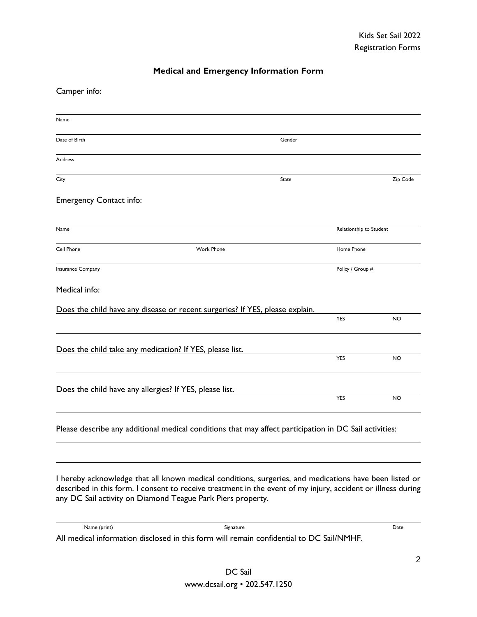## **Medical and Emergency Information Form**

Camper info:

| Name                                                                         |                   |              |                         |           |
|------------------------------------------------------------------------------|-------------------|--------------|-------------------------|-----------|
| Date of Birth                                                                |                   | Gender       |                         |           |
| <b>Address</b>                                                               |                   |              |                         |           |
| City                                                                         |                   | <b>State</b> |                         | Zip Code  |
| <b>Emergency Contact info:</b>                                               |                   |              |                         |           |
| Name                                                                         |                   |              | Relationship to Student |           |
| Cell Phone                                                                   | <b>Work Phone</b> |              | Home Phone              |           |
| Insurance Company                                                            |                   |              | Policy / Group #        |           |
| Medical info:                                                                |                   |              |                         |           |
| Does the child have any disease or recent surgeries? If YES, please explain. |                   |              |                         |           |
|                                                                              |                   |              | YES                     | <b>NO</b> |
| Does the child take any medication? If YES, please list.                     |                   |              |                         |           |
|                                                                              |                   |              | YES                     | <b>NO</b> |
| Does the child have any allergies? If YES, please list.                      |                   |              |                         |           |
|                                                                              |                   |              | <b>YES</b>              | <b>NO</b> |
|                                                                              |                   |              |                         |           |

Please describe any additional medical conditions that may affect participation in DC Sail activities:

I hereby acknowledge that all known medical conditions, surgeries, and medications have been listed or described in this form. I consent to receive treatment in the event of my injury, accident or illness during any DC Sail activity on Diamond Teague Park Piers property.

| Name (print) | Signature                                                                                | Date |
|--------------|------------------------------------------------------------------------------------------|------|
|              | All medical information disclosed in this form will remain confidential to DC Sail/NMHF. |      |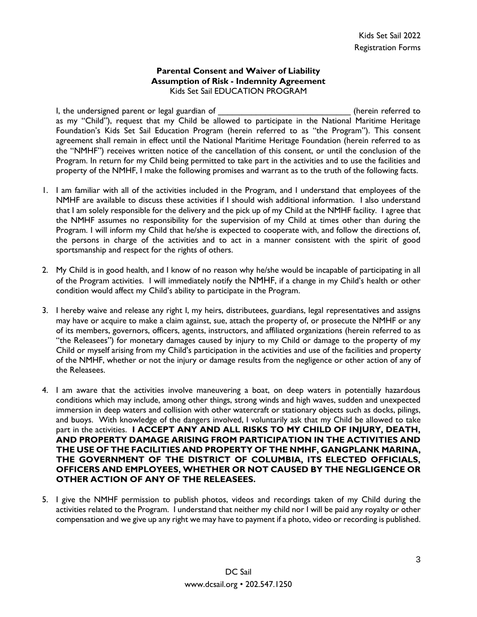## **Parental Consent and Waiver of Liability Assumption of Risk - Indemnity Agreement** Kids Set Sail EDUCATION PROGRAM

I, the undersigned parent or legal guardian of **EXALL CONSUMER SECONDENS** (herein referred to as my "Child"), request that my Child be allowed to participate in the National Maritime Heritage Foundation's Kids Set Sail Education Program (herein referred to as "the Program"). This consent agreement shall remain in effect until the National Maritime Heritage Foundation (herein referred to as the "NMHF") receives written notice of the cancellation of this consent, or until the conclusion of the Program. In return for my Child being permitted to take part in the activities and to use the facilities and property of the NMHF, I make the following promises and warrant as to the truth of the following facts.

- 1. I am familiar with all of the activities included in the Program, and I understand that employees of the NMHF are available to discuss these activities if I should wish additional information. I also understand that I am solely responsible for the delivery and the pick up of my Child at the NMHF facility. I agree that the NMHF assumes no responsibility for the supervision of my Child at times other than during the Program. I will inform my Child that he/she is expected to cooperate with, and follow the directions of, the persons in charge of the activities and to act in a manner consistent with the spirit of good sportsmanship and respect for the rights of others.
- 2. My Child is in good health, and I know of no reason why he/she would be incapable of participating in all of the Program activities. I will immediately notify the NMHF, if a change in my Child's health or other condition would affect my Child's ability to participate in the Program.
- 3. I hereby waive and release any right I, my heirs, distributees, guardians, legal representatives and assigns may have or acquire to make a claim against, sue, attach the property of, or prosecute the NMHF or any of its members, governors, officers, agents, instructors, and affiliated organizations (herein referred to as "the Releasees") for monetary damages caused by injury to my Child or damage to the property of my Child or myself arising from my Child's participation in the activities and use of the facilities and property of the NMHF, whether or not the injury or damage results from the negligence or other action of any of the Releasees.
- 4. I am aware that the activities involve maneuvering a boat, on deep waters in potentially hazardous conditions which may include, among other things, strong winds and high waves, sudden and unexpected immersion in deep waters and collision with other watercraft or stationary objects such as docks, pilings, and buoys. With knowledge of the dangers involved, I voluntarily ask that my Child be allowed to take part in the activities. **I ACCEPT ANY AND ALL RISKS TO MY CHILD OF INJURY, DEATH, AND PROPERTY DAMAGE ARISING FROM PARTICIPATION IN THE ACTIVITIES AND THE USE OF THE FACILITIES AND PROPERTY OF THE NMHF, GANGPLANK MARINA, THE GOVERNMENT OF THE DISTRICT OF COLUMBIA, ITS ELECTED OFFICIALS, OFFICERS AND EMPLOYEES, WHETHER OR NOT CAUSED BY THE NEGLIGENCE OR OTHER ACTION OF ANY OF THE RELEASEES.**
- 5. I give the NMHF permission to publish photos, videos and recordings taken of my Child during the activities related to the Program. I understand that neither my child nor I will be paid any royalty or other compensation and we give up any right we may have to payment if a photo, video or recording is published.